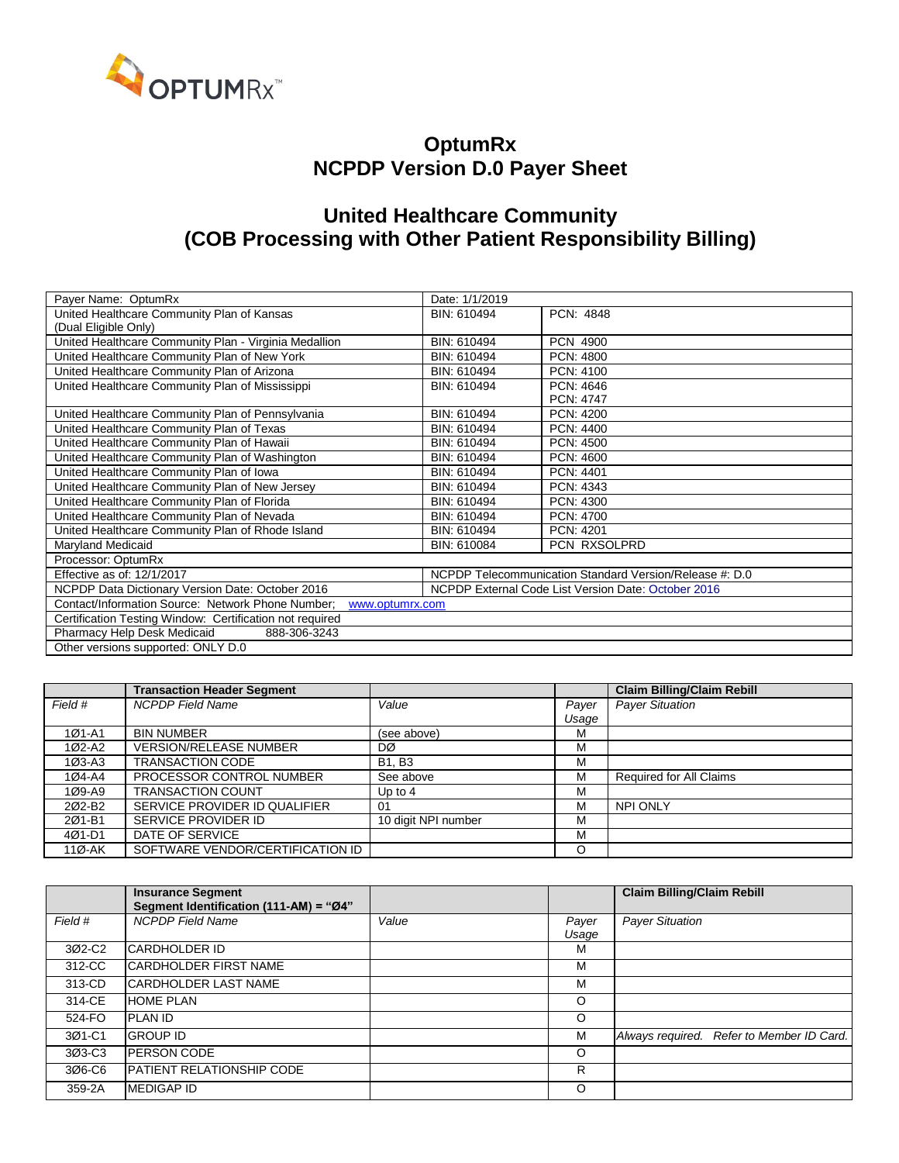

#### **OptumRx NCPDP Version D.0 Payer Sheet**

### **United Healthcare Community (COB Processing with Other Patient Responsibility Billing)**

| Payer Name: OptumRx                                                  | Date: 1/1/2019                                      |                                                         |  |  |
|----------------------------------------------------------------------|-----------------------------------------------------|---------------------------------------------------------|--|--|
| United Healthcare Community Plan of Kansas                           | BIN: 610494                                         | PCN: 4848                                               |  |  |
| (Dual Eligible Only)                                                 |                                                     |                                                         |  |  |
| United Healthcare Community Plan - Virginia Medallion                | BIN: 610494                                         | <b>PCN 4900</b>                                         |  |  |
| United Healthcare Community Plan of New York                         | BIN: 610494                                         | PCN: 4800                                               |  |  |
| United Healthcare Community Plan of Arizona                          | BIN: 610494                                         | PCN: 4100                                               |  |  |
| United Healthcare Community Plan of Mississippi                      | BIN: 610494                                         | PCN: 4646                                               |  |  |
|                                                                      |                                                     | <b>PCN: 4747</b>                                        |  |  |
| United Healthcare Community Plan of Pennsylvania                     | BIN: 610494                                         | PCN: 4200                                               |  |  |
| United Healthcare Community Plan of Texas                            | BIN: 610494                                         | PCN: 4400                                               |  |  |
| United Healthcare Community Plan of Hawaii                           | BIN: 610494                                         | PCN: 4500                                               |  |  |
| United Healthcare Community Plan of Washington                       | BIN: 610494                                         | PCN: 4600                                               |  |  |
| United Healthcare Community Plan of Iowa                             | BIN: 610494                                         | PCN: 4401                                               |  |  |
| United Healthcare Community Plan of New Jersey                       | BIN: 610494                                         | PCN: 4343                                               |  |  |
| United Healthcare Community Plan of Florida                          | BIN: 610494                                         | PCN: 4300                                               |  |  |
| United Healthcare Community Plan of Nevada                           | BIN: 610494                                         | PCN: 4700                                               |  |  |
| United Healthcare Community Plan of Rhode Island                     | BIN: 610494                                         | PCN: 4201                                               |  |  |
| Maryland Medicaid                                                    | BIN: 610084                                         | PCN RXSOLPRD                                            |  |  |
| Processor: OptumRx                                                   |                                                     |                                                         |  |  |
| Effective as of: 12/1/2017                                           |                                                     | NCPDP Telecommunication Standard Version/Release #: D.0 |  |  |
| NCPDP Data Dictionary Version Date: October 2016                     | NCPDP External Code List Version Date: October 2016 |                                                         |  |  |
| Contact/Information Source: Network Phone Number;<br>www.optumrx.com |                                                     |                                                         |  |  |
| Certification Testing Window: Certification not required             |                                                     |                                                         |  |  |
| Pharmacy Help Desk Medicaid<br>888-306-3243                          |                                                     |                                                         |  |  |
| Other versions supported: ONLY D.0                                   |                                                     |                                                         |  |  |

|            | <b>Transaction Header Segment</b> |                     |       | <b>Claim Billing/Claim Rebill</b> |
|------------|-----------------------------------|---------------------|-------|-----------------------------------|
| Field #    | <b>NCPDP</b> Field Name           | Value               | Payer | <b>Payer Situation</b>            |
|            |                                   |                     | Usage |                                   |
| $101 - A1$ | <b>BIN NUMBER</b>                 | (see above)         | М     |                                   |
| 1Ø2-A2     | <b>VERSION/RELEASE NUMBER</b>     | DØ                  | М     |                                   |
| $103 - A3$ | <b>TRANSACTION CODE</b>           | <b>B1, B3</b>       | M     |                                   |
| 1Ø4-A4     | PROCESSOR CONTROL NUMBER          | See above           | M     | Required for All Claims           |
| 1Ø9-A9     | <b>TRANSACTION COUNT</b>          | Up to $4$           | М     |                                   |
| 202-B2     | SERVICE PROVIDER ID QUALIFIER     | 01                  | М     | <b>NPI ONLY</b>                   |
| 201-B1     | SERVICE PROVIDER ID               | 10 digit NPI number | М     |                                   |
| 4Ø1-D1     | DATE OF SERVICE                   |                     | М     |                                   |
| 11Ø-AK     | SOFTWARE VENDOR/CERTIFICATION ID  |                     | O     |                                   |

|         | <b>Insurance Segment</b><br>Segment Identification (111-AM) = "Ø4" |       |                | <b>Claim Billing/Claim Rebill</b>         |
|---------|--------------------------------------------------------------------|-------|----------------|-------------------------------------------|
| Field # | <b>NCPDP Field Name</b>                                            | Value | Payer<br>Usage | <b>Payer Situation</b>                    |
| 3Ø2-C2  | ICARDHOLDER ID                                                     |       | M              |                                           |
| 312-CC  | <b>CARDHOLDER FIRST NAME</b>                                       |       | м              |                                           |
| 313-CD  | ICARDHOLDER LAST NAME                                              |       | м              |                                           |
| 314-CE  | <b>HOME PLAN</b>                                                   |       | O              |                                           |
| 524-FO  | <b>PLAN ID</b>                                                     |       | O              |                                           |
| 3Ø1-C1  | <b>GROUP ID</b>                                                    |       | M              | Always required. Refer to Member ID Card. |
| 3Ø3-C3  | <b>IPERSON CODE</b>                                                |       | O              |                                           |
| 3Ø6-C6  | <b>IPATIENT RELATIONSHIP CODE</b>                                  |       | R              |                                           |
| 359-2A  | <b>MEDIGAP ID</b>                                                  |       | $\circ$        |                                           |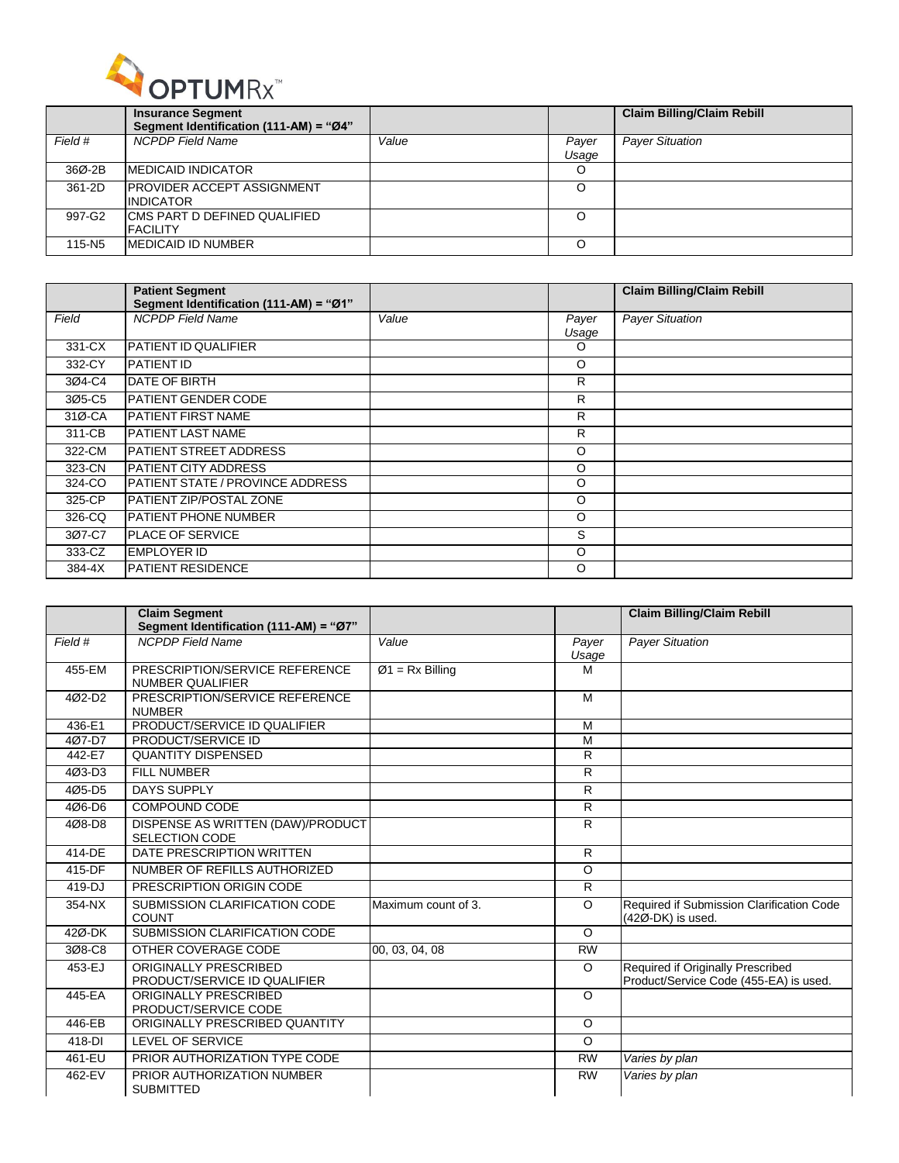

|         | <b>Insurance Segment</b>               |       |       | <b>Claim Billing/Claim Rebill</b> |
|---------|----------------------------------------|-------|-------|-----------------------------------|
|         | Segment Identification (111-AM) = "Ø4" |       |       |                                   |
| Field # | <b>NCPDP</b> Field Name                | Value | Payer | <b>Payer Situation</b>            |
|         |                                        |       | Usaqe |                                   |
| 36Ø-2B  | <b>IMEDICAID INDICATOR</b>             |       | O     |                                   |
| 361-2D  | <b>IPROVIDER ACCEPT ASSIGNMENT</b>     |       | O     |                                   |
|         | <b>INDICATOR</b>                       |       |       |                                   |
| 997-G2  | ICMS PART D DEFINED QUALIFIED          |       | O     |                                   |
|         | <b>FACILITY</b>                        |       |       |                                   |
| 115-N5  | <b>IMEDICAID ID NUMBER</b>             |       | O     |                                   |

|        | <b>Patient Segment</b><br>Segment Identification (111-AM) = "Ø1" |       |                | <b>Claim Billing/Claim Rebill</b> |
|--------|------------------------------------------------------------------|-------|----------------|-----------------------------------|
| Field  | <b>NCPDP</b> Field Name                                          | Value | Payer<br>Usage | <b>Payer Situation</b>            |
| 331-CX | PATIENT ID QUALIFIER                                             |       | O              |                                   |
| 332-CY | <b>PATIENT ID</b>                                                |       | O              |                                   |
| 3Ø4-C4 | <b>DATE OF BIRTH</b>                                             |       | R              |                                   |
| 3Ø5-C5 | IPATIENT GENDER CODE                                             |       | R              |                                   |
| 31Ø-CA | PATIENT FIRST NAME                                               |       | R              |                                   |
| 311-CB | IPATIENT LAST NAME                                               |       | R              |                                   |
| 322-CM | <b>PATIENT STREET ADDRESS</b>                                    |       | O              |                                   |
| 323-CN | <b>PATIENT CITY ADDRESS</b>                                      |       | O              |                                   |
| 324-CO | <b>PATIENT STATE / PROVINCE ADDRESS</b>                          |       | O              |                                   |
| 325-CP | PATIENT ZIP/POSTAL ZONE                                          |       | O              |                                   |
| 326-CQ | IPATIENT PHONE NUMBER                                            |       | O              |                                   |
| 3Ø7-C7 | <b>IPLACE OF SERVICE</b>                                         |       | S              |                                   |
| 333-CZ | <b>EMPLOYER ID</b>                                               |       | O              |                                   |
| 384-4X | <b>PATIENT RESIDENCE</b>                                         |       | $\circ$        |                                   |

|         | <b>Claim Segment</b><br>Segment Identification (111-AM) = "Ø7" |                     |                | <b>Claim Billing/Claim Rebill</b>                                           |
|---------|----------------------------------------------------------------|---------------------|----------------|-----------------------------------------------------------------------------|
| Field # | <b>NCPDP</b> Field Name                                        | Value               | Payer<br>Usage | <b>Payer Situation</b>                                                      |
| 455-EM  | PRESCRIPTION/SERVICE REFERENCE<br><b>NUMBER QUALIFIER</b>      | $Ø1 = Rx Billing$   | M              |                                                                             |
| 4Ø2-D2  | PRESCRIPTION/SERVICE REFERENCE<br><b>NUMBER</b>                |                     | M              |                                                                             |
| 436-E1  | PRODUCT/SERVICE ID QUALIFIER                                   |                     | M              |                                                                             |
| 407-D7  | PRODUCT/SERVICE ID                                             |                     | M              |                                                                             |
| 442-E7  | <b>QUANTITY DISPENSED</b>                                      |                     | R              |                                                                             |
| 4Ø3-D3  | <b>FILL NUMBER</b>                                             |                     | R              |                                                                             |
| 405-D5  | <b>DAYS SUPPLY</b>                                             |                     | R              |                                                                             |
| 4Ø6-D6  | COMPOUND CODE                                                  |                     | R              |                                                                             |
| 4Ø8-D8  | DISPENSE AS WRITTEN (DAW)/PRODUCT<br><b>SELECTION CODE</b>     |                     | R              |                                                                             |
| 414-DE  | DATE PRESCRIPTION WRITTEN                                      |                     | $\overline{R}$ |                                                                             |
| 415-DF  | NUMBER OF REFILLS AUTHORIZED                                   |                     | $\circ$        |                                                                             |
| 419-DJ  | PRESCRIPTION ORIGIN CODE                                       |                     | R              |                                                                             |
| 354-NX  | SUBMISSION CLARIFICATION CODE<br><b>COUNT</b>                  | Maximum count of 3. | $\Omega$       | Required if Submission Clarification Code<br>(42Ø-DK) is used.              |
| 42Ø-DK  | SUBMISSION CLARIFICATION CODE                                  |                     | $\Omega$       |                                                                             |
| 3Ø8-C8  | OTHER COVERAGE CODE                                            | 00, 03, 04, 08      | <b>RW</b>      |                                                                             |
| 453-EJ  | ORIGINALLY PRESCRIBED<br>PRODUCT/SERVICE ID QUALIFIER          |                     | $\circ$        | Required if Originally Prescribed<br>Product/Service Code (455-EA) is used. |
| 445-EA  | ORIGINALLY PRESCRIBED<br>PRODUCT/SERVICE CODE                  |                     | $\circ$        |                                                                             |
| 446-EB  | ORIGINALLY PRESCRIBED QUANTITY                                 |                     | $\circ$        |                                                                             |
| 418-DI  | <b>LEVEL OF SERVICE</b>                                        |                     | $\circ$        |                                                                             |
| 461-EU  | PRIOR AUTHORIZATION TYPE CODE                                  |                     | <b>RW</b>      | Varies by plan                                                              |
| 462-EV  | PRIOR AUTHORIZATION NUMBER<br><b>SUBMITTED</b>                 |                     | <b>RW</b>      | Varies by plan                                                              |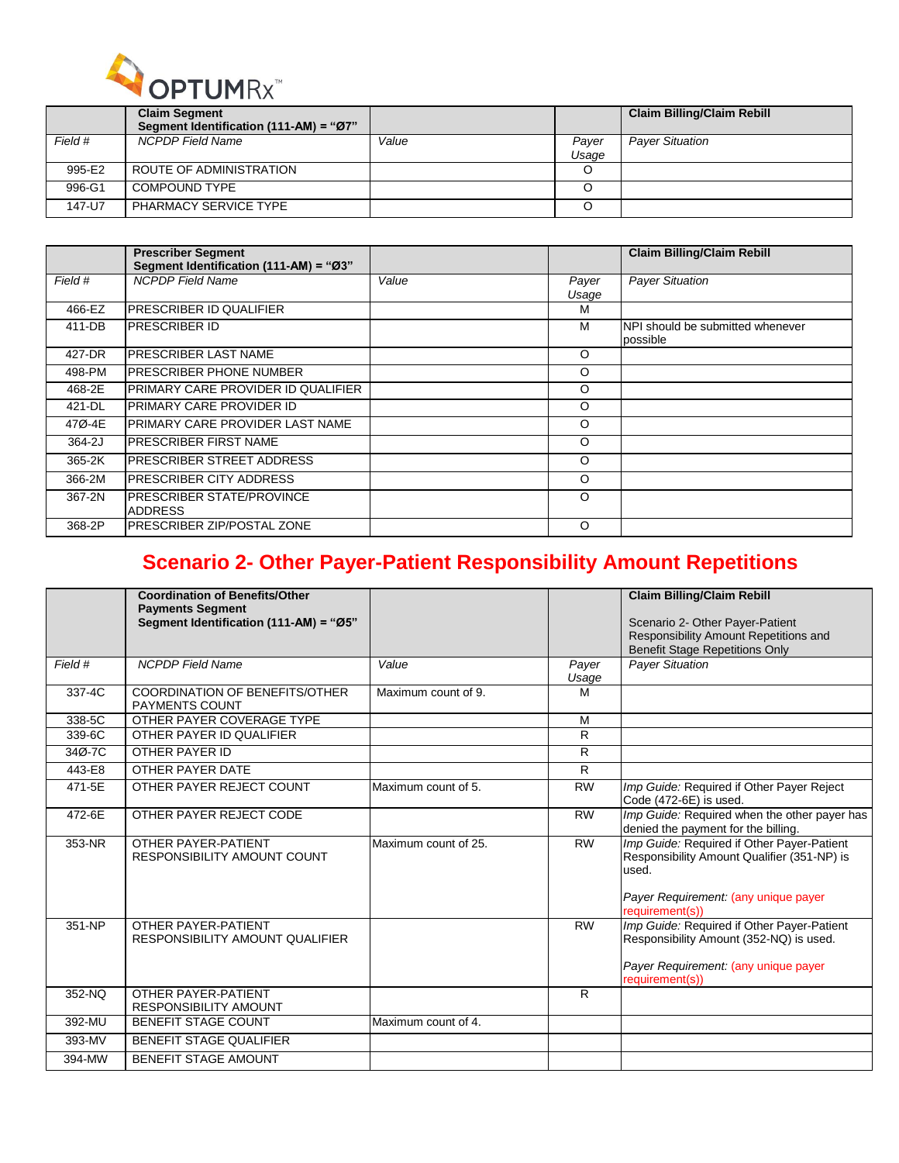

|         | <b>Claim Segment</b><br>Segment Identification (111-AM) = "Ø7" |       |                | <b>Claim Billing/Claim Rebill</b> |
|---------|----------------------------------------------------------------|-------|----------------|-----------------------------------|
| Field # | <b>NCPDP Field Name</b>                                        | Value | Payer<br>Usage | <b>Payer Situation</b>            |
| 995-E2  | ROUTE OF ADMINISTRATION                                        |       |                |                                   |
| 996-G1  | COMPOUND TYPE                                                  |       |                |                                   |
| 147-U7  | <b>PHARMACY SERVICE TYPE</b>                                   |       |                |                                   |

|         | <b>Prescriber Segment</b><br>Segment Identification (111-AM) = "Ø3" |       |                | <b>Claim Billing/Claim Rebill</b>            |
|---------|---------------------------------------------------------------------|-------|----------------|----------------------------------------------|
| Field # | <b>NCPDP</b> Field Name                                             | Value | Payer<br>Usage | <b>Payer Situation</b>                       |
| 466-EZ  | <b>PRESCRIBER ID QUALIFIER</b>                                      |       | м              |                                              |
| 411-DB  | <b>PRESCRIBER ID</b>                                                |       | M              | NPI should be submitted whenever<br>possible |
| 427-DR  | <b>PRESCRIBER LAST NAME</b>                                         |       | O              |                                              |
| 498-PM  | PRESCRIBER PHONE NUMBER                                             |       | O              |                                              |
| 468-2E  | PRIMARY CARE PROVIDER ID QUALIFIER                                  |       | O              |                                              |
| 421-DL  | <b>PRIMARY CARE PROVIDER ID</b>                                     |       | O              |                                              |
| 47Ø-4E  | PRIMARY CARE PROVIDER LAST NAME                                     |       | O              |                                              |
| 364-2J  | <b>PRESCRIBER FIRST NAME</b>                                        |       | O              |                                              |
| 365-2K  | <b>PRESCRIBER STREET ADDRESS</b>                                    |       | O              |                                              |
| 366-2M  | <b>PRESCRIBER CITY ADDRESS</b>                                      |       | O              |                                              |
| 367-2N  | <b>PRESCRIBER STATE/PROVINCE</b><br><b>ADDRESS</b>                  |       | O              |                                              |
| 368-2P  | <b>PRESCRIBER ZIP/POSTAL ZONE</b>                                   |       | O              |                                              |

## **Scenario 2- Other Payer-Patient Responsibility Amount Repetitions**

|         | <b>Coordination of Benefits/Other</b><br><b>Payments Segment</b><br>Segment Identification (111-AM) = "Ø5" |                      |                | <b>Claim Billing/Claim Rebill</b><br>Scenario 2- Other Payer-Patient<br>Responsibility Amount Repetitions and<br>Benefit Stage Repetitions Only               |
|---------|------------------------------------------------------------------------------------------------------------|----------------------|----------------|---------------------------------------------------------------------------------------------------------------------------------------------------------------|
| Field # | <b>NCPDP</b> Field Name                                                                                    | Value                | Payer<br>Usage | <b>Payer Situation</b>                                                                                                                                        |
| 337-4C  | <b>COORDINATION OF BENEFITS/OTHER</b><br><b>PAYMENTS COUNT</b>                                             | Maximum count of 9.  | M              |                                                                                                                                                               |
| 338-5C  | OTHER PAYER COVERAGE TYPE                                                                                  |                      | M              |                                                                                                                                                               |
| 339-6C  | OTHER PAYER ID QUALIFIER                                                                                   |                      | R              |                                                                                                                                                               |
| 34Ø-7C  | OTHER PAYER ID                                                                                             |                      | $\mathsf{R}$   |                                                                                                                                                               |
| 443-E8  | OTHER PAYER DATE                                                                                           |                      | R              |                                                                                                                                                               |
| 471-5E  | OTHER PAYER REJECT COUNT                                                                                   | Maximum count of 5.  | <b>RW</b>      | Imp Guide: Required if Other Payer Reject<br>Code (472-6E) is used.                                                                                           |
| 472-6E  | OTHER PAYER REJECT CODE                                                                                    |                      | <b>RW</b>      | Imp Guide: Required when the other payer has<br>denied the payment for the billing.                                                                           |
| 353-NR  | OTHER PAYER-PATIENT<br><b>RESPONSIBILITY AMOUNT COUNT</b>                                                  | Maximum count of 25. | <b>RW</b>      | Imp Guide: Required if Other Payer-Patient<br>Responsibility Amount Qualifier (351-NP) is<br>used.<br>Payer Requirement: (any unique payer<br>requirement(s)) |
| 351-NP  | OTHER PAYER-PATIENT<br>RESPONSIBILITY AMOUNT QUALIFIER                                                     |                      | <b>RW</b>      | Imp Guide: Required if Other Payer-Patient<br>Responsibility Amount (352-NQ) is used.<br>Payer Requirement: (any unique payer<br>requirement(s))              |
| 352-NQ  | OTHER PAYER-PATIENT<br><b>RESPONSIBILITY AMOUNT</b>                                                        |                      | R              |                                                                                                                                                               |
| 392-MU  | <b>BENEFIT STAGE COUNT</b>                                                                                 | Maximum count of 4.  |                |                                                                                                                                                               |
| 393-MV  | <b>BENEFIT STAGE QUALIFIER</b>                                                                             |                      |                |                                                                                                                                                               |
| 394-MW  | <b>BENEFIT STAGE AMOUNT</b>                                                                                |                      |                |                                                                                                                                                               |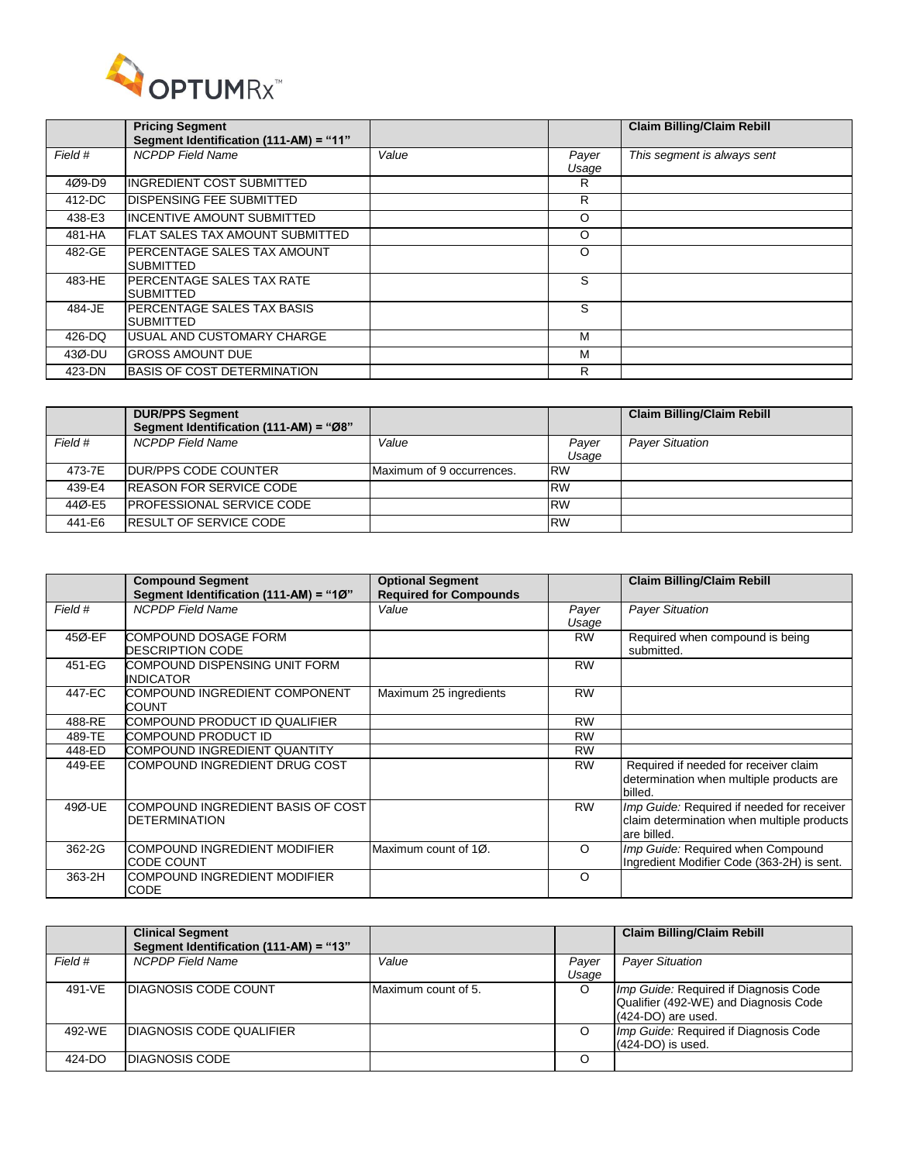

|         | <b>Pricing Segment</b><br>Segment Identification (111-AM) = "11" |       |                | <b>Claim Billing/Claim Rebill</b> |
|---------|------------------------------------------------------------------|-------|----------------|-----------------------------------|
| Field # | <b>NCPDP</b> Field Name                                          | Value | Payer<br>Usage | This segment is always sent       |
| 4Ø9-D9  | INGREDIENT COST SUBMITTED                                        |       | R              |                                   |
| 412-DC  | <b>DISPENSING FEE SUBMITTED</b>                                  |       | R              |                                   |
| 438-E3  | <b>INCENTIVE AMOUNT SUBMITTED</b>                                |       | $\circ$        |                                   |
| 481-HA  | IFLAT SALES TAX AMOUNT SUBMITTED                                 |       | $\circ$        |                                   |
| 482-GE  | PERCENTAGE SALES TAX AMOUNT<br><b>SUBMITTED</b>                  |       | $\circ$        |                                   |
| 483-HE  | PERCENTAGE SALES TAX RATE<br><b>SUBMITTED</b>                    |       | S              |                                   |
| 484-JE  | PERCENTAGE SALES TAX BASIS<br><b>SUBMITTED</b>                   |       | S              |                                   |
| 426-DQ  | USUAL AND CUSTOMARY CHARGE                                       |       | M              |                                   |
| 43Ø-DU  | <b>GROSS AMOUNT DUE</b>                                          |       | м              |                                   |
| 423-DN  | <b>BASIS OF COST DETERMINATION</b>                               |       | R              |                                   |

|         | <b>DUR/PPS Segment</b><br>Segment Identification (111-AM) = "Ø8" |                           |                | <b>Claim Billing/Claim Rebill</b> |
|---------|------------------------------------------------------------------|---------------------------|----------------|-----------------------------------|
| Field # | NCPDP Field Name                                                 | Value                     | Payer<br>Usaqe | <b>Payer Situation</b>            |
| 473-7E  | <b>IDUR/PPS CODE COUNTER</b>                                     | Maximum of 9 occurrences. | <b>RW</b>      |                                   |
| 439-E4  | <b>IREASON FOR SERVICE CODE</b>                                  |                           | <b>RW</b>      |                                   |
| 44Ø-E5  | <b>IPROFESSIONAL SERVICE CODE</b>                                |                           | <b>RW</b>      |                                   |
| 441-E6  | <b>IRESULT OF SERVICE CODE</b>                                   |                           | <b>RW</b>      |                                   |

|         | <b>Compound Segment</b><br>Segment Identification (111-AM) = "1Ø" | <b>Optional Segment</b><br><b>Required for Compounds</b> |                | <b>Claim Billing/Claim Rebill</b>                                                                       |
|---------|-------------------------------------------------------------------|----------------------------------------------------------|----------------|---------------------------------------------------------------------------------------------------------|
| Field # | <b>NCPDP Field Name</b>                                           | Value                                                    | Payer<br>Usage | <b>Payer Situation</b>                                                                                  |
| 45Ø-EF  | COMPOUND DOSAGE FORM<br><b>DESCRIPTION CODE</b>                   |                                                          | <b>RW</b>      | Required when compound is being<br>submitted.                                                           |
| 451-EG  | COMPOUND DISPENSING UNIT FORM<br><b>INDICATOR</b>                 |                                                          | <b>RW</b>      |                                                                                                         |
| 447-EC  | COMPOUND INGREDIENT COMPONENT<br>COUNT                            | Maximum 25 ingredients                                   | <b>RW</b>      |                                                                                                         |
| 488-RE  | COMPOUND PRODUCT ID QUALIFIER                                     |                                                          | <b>RW</b>      |                                                                                                         |
| 489-TE  | COMPOUND PRODUCT ID                                               |                                                          | <b>RW</b>      |                                                                                                         |
| 448-ED  | COMPOUND INGREDIENT QUANTITY                                      |                                                          | <b>RW</b>      |                                                                                                         |
| 449-EE  | COMPOUND INGREDIENT DRUG COST                                     |                                                          | <b>RW</b>      | Required if needed for receiver claim<br>determination when multiple products are<br>billed.            |
| 49Ø-UE  | COMPOUND INGREDIENT BASIS OF COST<br><b>DETERMINATION</b>         |                                                          | <b>RW</b>      | Imp Guide: Required if needed for receiver<br>claim determination when multiple products<br>are billed. |
| 362-2G  | <b>COMPOUND INGREDIENT MODIFIER</b><br><b>CODE COUNT</b>          | Maximum count of 10.                                     | $\circ$        | Imp Guide: Required when Compound<br>Ingredient Modifier Code (363-2H) is sent.                         |
| 363-2H  | COMPOUND INGREDIENT MODIFIER<br>CODE                              |                                                          | $\Omega$       |                                                                                                         |

|         | <b>Clinical Segment</b><br>Segment Identification (111-AM) = "13" |                     |                | <b>Claim Billing/Claim Rebill</b>                                                                      |
|---------|-------------------------------------------------------------------|---------------------|----------------|--------------------------------------------------------------------------------------------------------|
| Field # | <b>NCPDP</b> Field Name                                           | Value               | Payer<br>Usage | <b>Payer Situation</b>                                                                                 |
| 491-VE  | <b>DIAGNOSIS CODE COUNT</b>                                       | Maximum count of 5. | O              | Imp Guide: Required if Diagnosis Code<br>Qualifier (492-WE) and Diagnosis Code<br>$(424-DO)$ are used. |
| 492-WE  | <b>IDIAGNOSIS CODE QUALIFIER</b>                                  |                     | O              | Imp Guide: Required if Diagnosis Code<br>$(424-DO)$ is used.                                           |
| 424-DO  | <b>DIAGNOSIS CODE</b>                                             |                     | O              |                                                                                                        |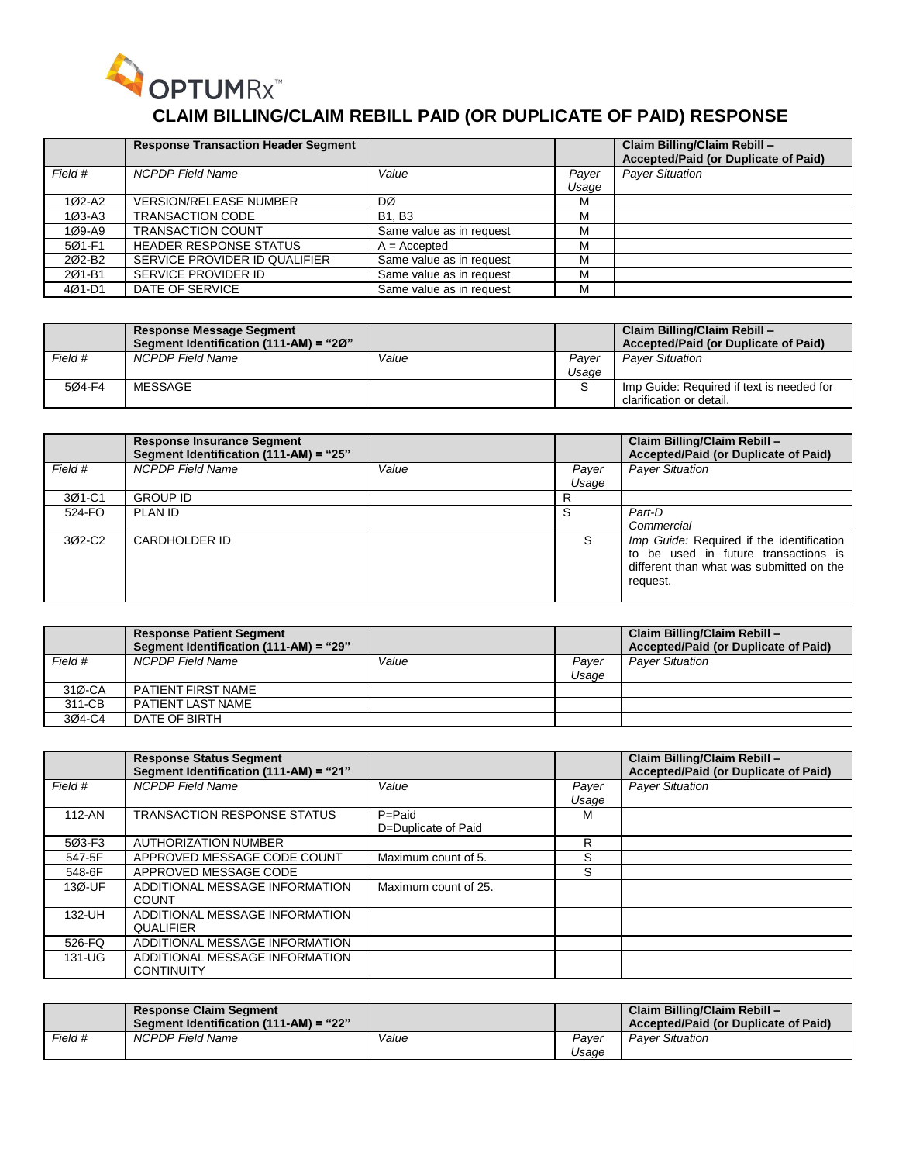

# **CLAIM BILLING/CLAIM REBILL PAID (OR DUPLICATE OF PAID) RESPONSE**

|         | <b>Response Transaction Header Segment</b> |                          |       | Claim Billing/Claim Rebill -<br>Accepted/Paid (or Duplicate of Paid) |
|---------|--------------------------------------------|--------------------------|-------|----------------------------------------------------------------------|
| Field # | <b>NCPDP Field Name</b>                    | Value                    | Payer | <b>Payer Situation</b>                                               |
|         |                                            |                          | Usaqe |                                                                      |
| 1Ø2-A2  | <b>VERSION/RELEASE NUMBER</b>              | DØ                       | M     |                                                                      |
| 1Ø3-A3  | <b>TRANSACTION CODE</b>                    | <b>B1.B3</b>             | М     |                                                                      |
| 1Ø9-A9  | <b>TRANSACTION COUNT</b>                   | Same value as in request | M     |                                                                      |
| 501-F1  | <b>HEADER RESPONSE STATUS</b>              | $A = Accepted$           | М     |                                                                      |
| 202-B2  | SERVICE PROVIDER ID QUALIFIER              | Same value as in request | M     |                                                                      |
| 201-B1  | SERVICE PROVIDER ID                        | Same value as in request | M     |                                                                      |
| 4Ø1-D1  | DATE OF SERVICE                            | Same value as in request | M     |                                                                      |

|         | <b>Response Message Segment</b><br>Segment Identification (111-AM) = "20" |       |                | Claim Billing/Claim Rebill -<br>Accepted/Paid (or Duplicate of Paid)  |
|---------|---------------------------------------------------------------------------|-------|----------------|-----------------------------------------------------------------------|
| Field # | NCPDP Field Name                                                          | Value | Paver<br>Usaqe | <b>Paver Situation</b>                                                |
| 504-F4  | MESSAGE                                                                   |       |                | Imp Guide: Required if text is needed for<br>clarification or detail. |

|         | <b>Response Insurance Segment</b><br>Segment Identification (111-AM) = "25" |       |       | Claim Billing/Claim Rebill -<br>Accepted/Paid (or Duplicate of Paid)                                                                      |
|---------|-----------------------------------------------------------------------------|-------|-------|-------------------------------------------------------------------------------------------------------------------------------------------|
| Field # | <b>NCPDP</b> Field Name                                                     | Value | Payer | <b>Payer Situation</b>                                                                                                                    |
|         |                                                                             |       | Usage |                                                                                                                                           |
| 3Ø1-C1  | <b>GROUP ID</b>                                                             |       | R     |                                                                                                                                           |
| 524-FO  | PLAN ID                                                                     |       | S     | Part-D                                                                                                                                    |
|         |                                                                             |       |       | Commercial                                                                                                                                |
| 302-C2  | CARDHOLDER ID                                                               |       | S     | Imp Guide: Required if the identification<br>to be used in future transactions is<br>different than what was submitted on the<br>request. |

|         | <b>Response Patient Segment</b><br>Segment Identification (111-AM) = "29" |       |                | Claim Billing/Claim Rebill -<br>Accepted/Paid (or Duplicate of Paid) |
|---------|---------------------------------------------------------------------------|-------|----------------|----------------------------------------------------------------------|
| Field # | NCPDP Field Name                                                          | Value | Paver<br>Usage | <b>Paver Situation</b>                                               |
| 31Ø-CA  | PATIENT FIRST NAME                                                        |       |                |                                                                      |
| 311-CB  | PATIENT LAST NAME                                                         |       |                |                                                                      |
| 304-C4  | DATE OF BIRTH                                                             |       |                |                                                                      |

|            | <b>Response Status Segment</b><br>Segment Identification (111-AM) = "21" |                                   |                | Claim Billing/Claim Rebill -<br>Accepted/Paid (or Duplicate of Paid) |
|------------|--------------------------------------------------------------------------|-----------------------------------|----------------|----------------------------------------------------------------------|
| Field #    | <b>NCPDP Field Name</b>                                                  | Value                             | Payer<br>Usage | <b>Payer Situation</b>                                               |
| $112 - AN$ | TRANSACTION RESPONSE STATUS                                              | $P =$ Paid<br>D=Duplicate of Paid | м              |                                                                      |
| 5Ø3-F3     | <b>AUTHORIZATION NUMBER</b>                                              |                                   | R              |                                                                      |
| 547-5F     | APPROVED MESSAGE CODE COUNT                                              | Maximum count of 5.               | S              |                                                                      |
| 548-6F     | APPROVED MESSAGE CODE                                                    |                                   | S              |                                                                      |
| 13Ø-UF     | ADDITIONAL MESSAGE INFORMATION<br><b>COUNT</b>                           | Maximum count of 25.              |                |                                                                      |
| 132-UH     | ADDITIONAL MESSAGE INFORMATION<br><b>QUALIFIER</b>                       |                                   |                |                                                                      |
| 526-FQ     | ADDITIONAL MESSAGE INFORMATION                                           |                                   |                |                                                                      |
| 131-UG     | ADDITIONAL MESSAGE INFORMATION<br><b>CONTINUITY</b>                      |                                   |                |                                                                      |

|         | <b>Response Claim Segment</b><br>Segment Identification (111-AM) = "22" |       |                | Claim Billing/Claim Rebill -<br>Accepted/Paid (or Duplicate of Paid) |
|---------|-------------------------------------------------------------------------|-------|----------------|----------------------------------------------------------------------|
| Field # | NCPDP Field Name                                                        | Value | Paver<br>Usaqe | <b>Paver Situation</b>                                               |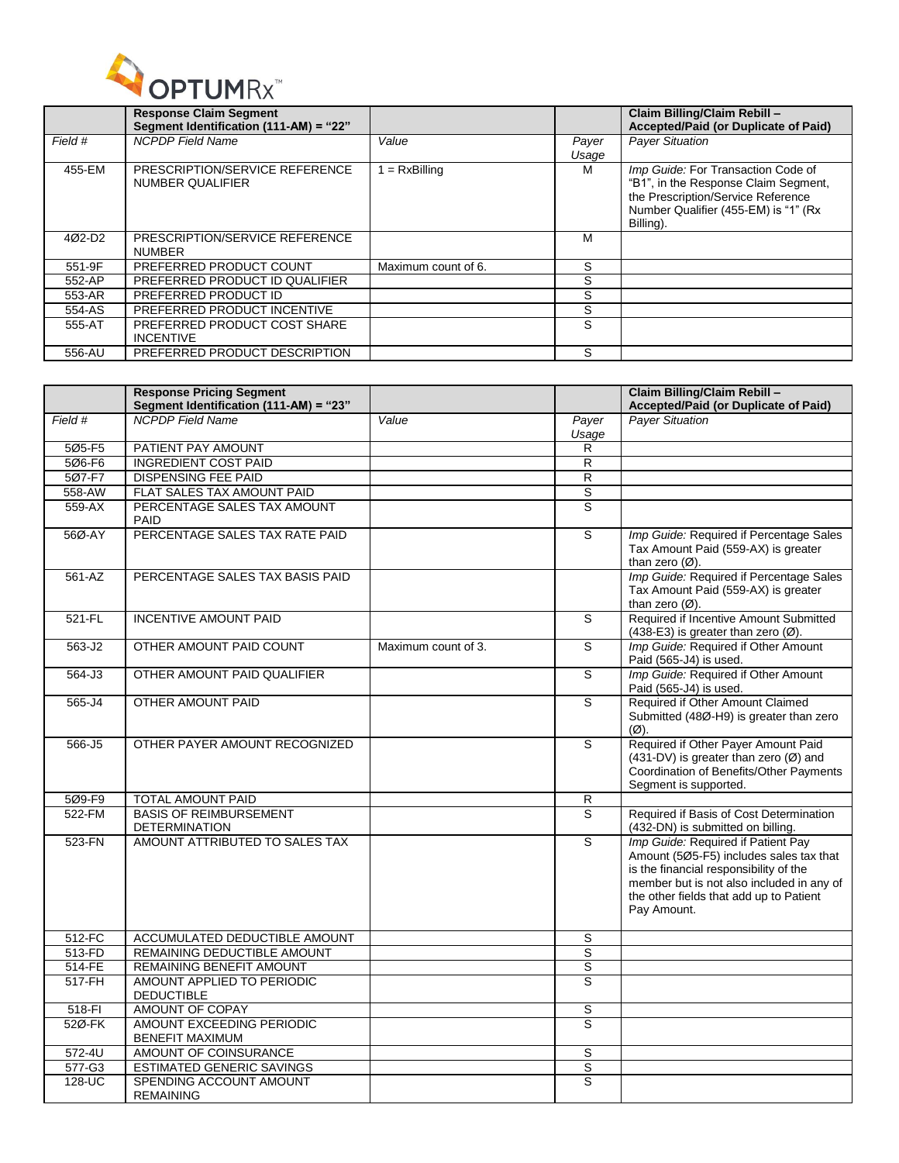

|                    | <b>Response Claim Segment</b><br>Segment Identification (111-AM) = "22" |                     |                | Claim Billing/Claim Rebill -<br>Accepted/Paid (or Duplicate of Paid)                                                                                                   |
|--------------------|-------------------------------------------------------------------------|---------------------|----------------|------------------------------------------------------------------------------------------------------------------------------------------------------------------------|
| Field #            | <b>NCPDP</b> Field Name                                                 | Value               | Payer<br>Usage | <b>Payer Situation</b>                                                                                                                                                 |
| 455-EM             | PRESCRIPTION/SERVICE REFERENCE<br>NUMBER QUALIFIER                      | $= RxBilling$       | м              | Imp Guide: For Transaction Code of<br>"B1", in the Response Claim Segment,<br>the Prescription/Service Reference<br>Number Qualifier (455-EM) is "1" (Rx)<br>Billing). |
| 402-D <sub>2</sub> | PRESCRIPTION/SERVICE REFERENCE<br><b>NUMBER</b>                         |                     | м              |                                                                                                                                                                        |
| 551-9F             | PREFERRED PRODUCT COUNT                                                 | Maximum count of 6. | S              |                                                                                                                                                                        |
| 552-AP             | PREFERRED PRODUCT ID QUALIFIER                                          |                     | S              |                                                                                                                                                                        |
| 553-AR             | PREFERRED PRODUCT ID                                                    |                     | S              |                                                                                                                                                                        |
| 554-AS             | PREFERRED PRODUCT INCENTIVE                                             |                     | S              |                                                                                                                                                                        |
| 555-AT             | PREFERRED PRODUCT COST SHARE<br><b>INCENTIVE</b>                        |                     | S              |                                                                                                                                                                        |
| 556-AU             | PREFERRED PRODUCT DESCRIPTION                                           |                     | S              |                                                                                                                                                                        |

|            | <b>Response Pricing Segment</b><br>Segment Identification (111-AM) = "23" |                     |                | Claim Billing/Claim Rebill -<br>Accepted/Paid (or Duplicate of Paid)                                                                                                                                                           |
|------------|---------------------------------------------------------------------------|---------------------|----------------|--------------------------------------------------------------------------------------------------------------------------------------------------------------------------------------------------------------------------------|
| Field #    | NCPDP Field Name                                                          | Value               | Payer          | <b>Payer Situation</b>                                                                                                                                                                                                         |
|            |                                                                           |                     | Usage          |                                                                                                                                                                                                                                |
| 5Ø5-F5     | PATIENT PAY AMOUNT                                                        |                     | R.             |                                                                                                                                                                                                                                |
| 5Ø6-F6     | <b>INGREDIENT COST PAID</b>                                               |                     | $\mathsf{R}$   |                                                                                                                                                                                                                                |
| 507-F7     | <b>DISPENSING FEE PAID</b>                                                |                     | $\overline{R}$ |                                                                                                                                                                                                                                |
| 558-AW     | FLAT SALES TAX AMOUNT PAID                                                |                     | $\overline{s}$ |                                                                                                                                                                                                                                |
| $559-AX$   | PERCENTAGE SALES TAX AMOUNT<br>PAID                                       |                     | $\overline{s}$ |                                                                                                                                                                                                                                |
| 56Ø-AY     | PERCENTAGE SALES TAX RATE PAID                                            |                     | s              | Imp Guide: Required if Percentage Sales<br>Tax Amount Paid (559-AX) is greater<br>than zero $(Ø)$ .                                                                                                                            |
| 561-AZ     | PERCENTAGE SALES TAX BASIS PAID                                           |                     |                | Imp Guide: Required if Percentage Sales<br>Tax Amount Paid (559-AX) is greater<br>than zero $(\emptyset)$ .                                                                                                                    |
| 521-FL     | <b>INCENTIVE AMOUNT PAID</b>                                              |                     | S              | Required if Incentive Amount Submitted<br>(438-E3) is greater than zero $(\emptyset)$ .                                                                                                                                        |
| 563-J2     | OTHER AMOUNT PAID COUNT                                                   | Maximum count of 3. | S              | Imp Guide: Required if Other Amount<br>Paid (565-J4) is used.                                                                                                                                                                  |
| 564-J3     | OTHER AMOUNT PAID QUALIFIER                                               |                     | $\overline{s}$ | Imp Guide: Required if Other Amount<br>Paid (565-J4) is used.                                                                                                                                                                  |
| 565-J4     | OTHER AMOUNT PAID                                                         |                     | S              | Required if Other Amount Claimed<br>Submitted (48Ø-H9) is greater than zero<br>$(\emptyset)$ .                                                                                                                                 |
| 566-J5     | OTHER PAYER AMOUNT RECOGNIZED                                             |                     | S              | Required if Other Payer Amount Paid<br>$(431-DV)$ is greater than zero (Ø) and<br>Coordination of Benefits/Other Payments<br>Segment is supported.                                                                             |
| 5Ø9-F9     | <b>TOTAL AMOUNT PAID</b>                                                  |                     | R              |                                                                                                                                                                                                                                |
| 522-FM     | <b>BASIS OF REIMBURSEMENT</b><br><b>DETERMINATION</b>                     |                     | S              | Required if Basis of Cost Determination<br>(432-DN) is submitted on billing.                                                                                                                                                   |
| 523-FN     | AMOUNT ATTRIBUTED TO SALES TAX                                            |                     | s              | Imp Guide: Required if Patient Pay<br>Amount (505-F5) includes sales tax that<br>is the financial responsibility of the<br>member but is not also included in any of<br>the other fields that add up to Patient<br>Pay Amount. |
| 512-FC     | ACCUMULATED DEDUCTIBLE AMOUNT                                             |                     | S              |                                                                                                                                                                                                                                |
| 513-FD     | REMAINING DEDUCTIBLE AMOUNT                                               |                     | S              |                                                                                                                                                                                                                                |
| $514 - FE$ | <b>REMAINING BENEFIT AMOUNT</b>                                           |                     | $\overline{s}$ |                                                                                                                                                                                                                                |
| 517-FH     | AMOUNT APPLIED TO PERIODIC<br><b>DEDUCTIBLE</b>                           |                     | S              |                                                                                                                                                                                                                                |
| 518-FI     | AMOUNT OF COPAY                                                           |                     | S              |                                                                                                                                                                                                                                |
| 52Ø-FK     | <b>AMOUNT EXCEEDING PERIODIC</b><br><b>BENEFIT MAXIMUM</b>                |                     | S              |                                                                                                                                                                                                                                |
| $572-4U$   | AMOUNT OF COINSURANCE                                                     |                     | S              |                                                                                                                                                                                                                                |
| 577-G3     | <b>ESTIMATED GENERIC SAVINGS</b>                                          |                     | $\overline{s}$ |                                                                                                                                                                                                                                |
| 128-UC     | SPENDING ACCOUNT AMOUNT<br><b>REMAINING</b>                               |                     | s              |                                                                                                                                                                                                                                |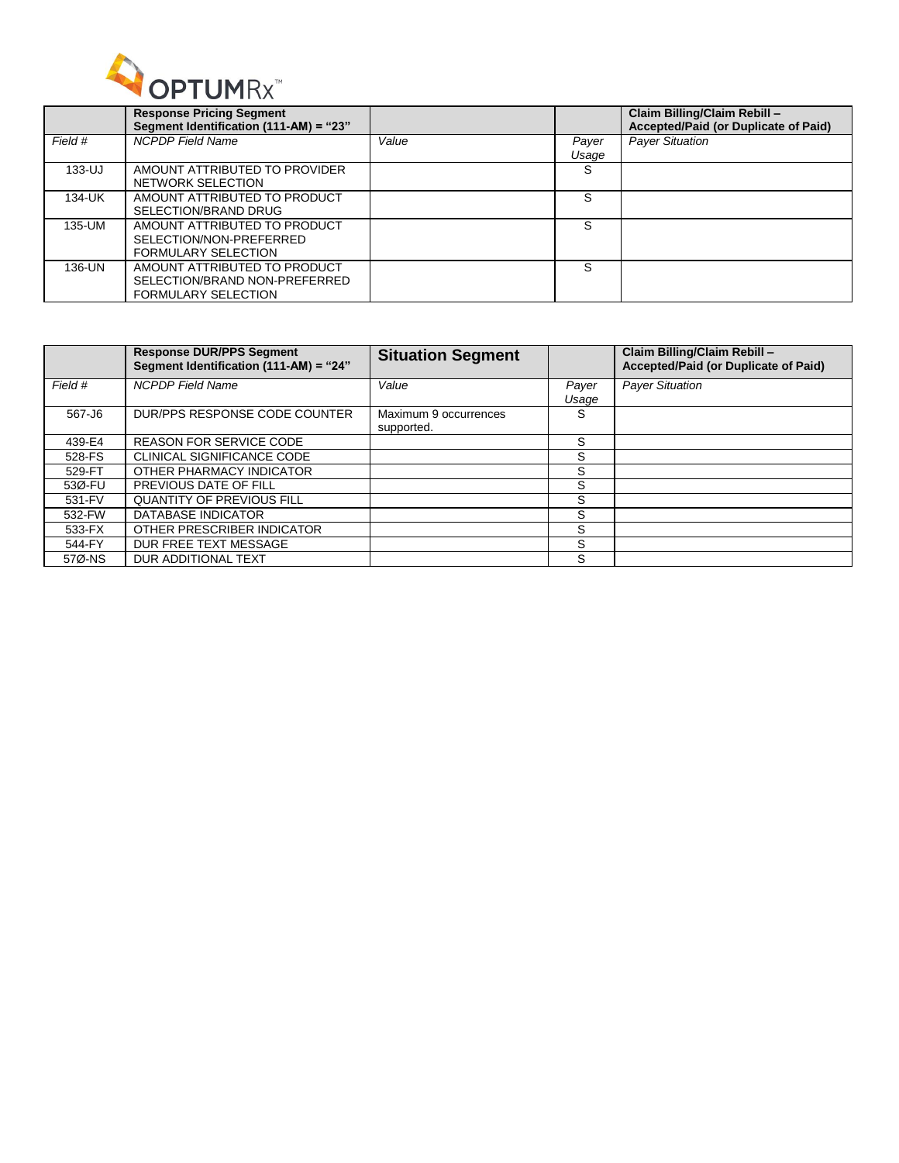

|            | <b>Response Pricing Segment</b><br>Segment Identification (111-AM) = "23"                   |       |                | Claim Billing/Claim Rebill -<br>Accepted/Paid (or Duplicate of Paid) |
|------------|---------------------------------------------------------------------------------------------|-------|----------------|----------------------------------------------------------------------|
| Field #    | <b>NCPDP</b> Field Name                                                                     | Value | Payer<br>Usage | <b>Payer Situation</b>                                               |
| $133 - UJ$ | AMOUNT ATTRIBUTED TO PROVIDER<br>NETWORK SELECTION                                          |       | S              |                                                                      |
| 134-UK     | AMOUNT ATTRIBUTED TO PRODUCT<br>SELECTION/BRAND DRUG                                        |       | S              |                                                                      |
| 135-UM     | AMOUNT ATTRIBUTED TO PRODUCT<br>SELECTION/NON-PREFERRED<br><b>FORMULARY SELECTION</b>       |       | S              |                                                                      |
| 136-UN     | AMOUNT ATTRIBUTED TO PRODUCT<br>SELECTION/BRAND NON-PREFERRED<br><b>FORMULARY SELECTION</b> |       | S              |                                                                      |

|         | <b>Response DUR/PPS Segment</b><br>Segment Identification (111-AM) = "24" | <b>Situation Segment</b>            |                | Claim Billing/Claim Rebill -<br>Accepted/Paid (or Duplicate of Paid) |
|---------|---------------------------------------------------------------------------|-------------------------------------|----------------|----------------------------------------------------------------------|
| Field # | <b>NCPDP</b> Field Name                                                   | Value                               | Payer<br>Usage | <b>Payer Situation</b>                                               |
| 567-J6  | DUR/PPS RESPONSE CODE COUNTER                                             | Maximum 9 occurrences<br>supported. | S              |                                                                      |
| 439-E4  | <b>REASON FOR SERVICE CODE</b>                                            |                                     | S              |                                                                      |
| 528-FS  | <b>CLINICAL SIGNIFICANCE CODE</b>                                         |                                     | S              |                                                                      |
| 529-FT  | OTHER PHARMACY INDICATOR                                                  |                                     | S              |                                                                      |
| 53Ø-FU  | PREVIOUS DATE OF FILL                                                     |                                     | S              |                                                                      |
| 531-FV  | <b>QUANTITY OF PREVIOUS FILL</b>                                          |                                     | S              |                                                                      |
| 532-FW  | DATABASE INDICATOR                                                        |                                     | S              |                                                                      |
| 533-FX  | OTHER PRESCRIBER INDICATOR                                                |                                     | S              |                                                                      |
| 544-FY  | DUR FREE TEXT MESSAGE                                                     |                                     | S              |                                                                      |
| 57Ø-NS  | DUR ADDITIONAL TEXT                                                       |                                     | S              |                                                                      |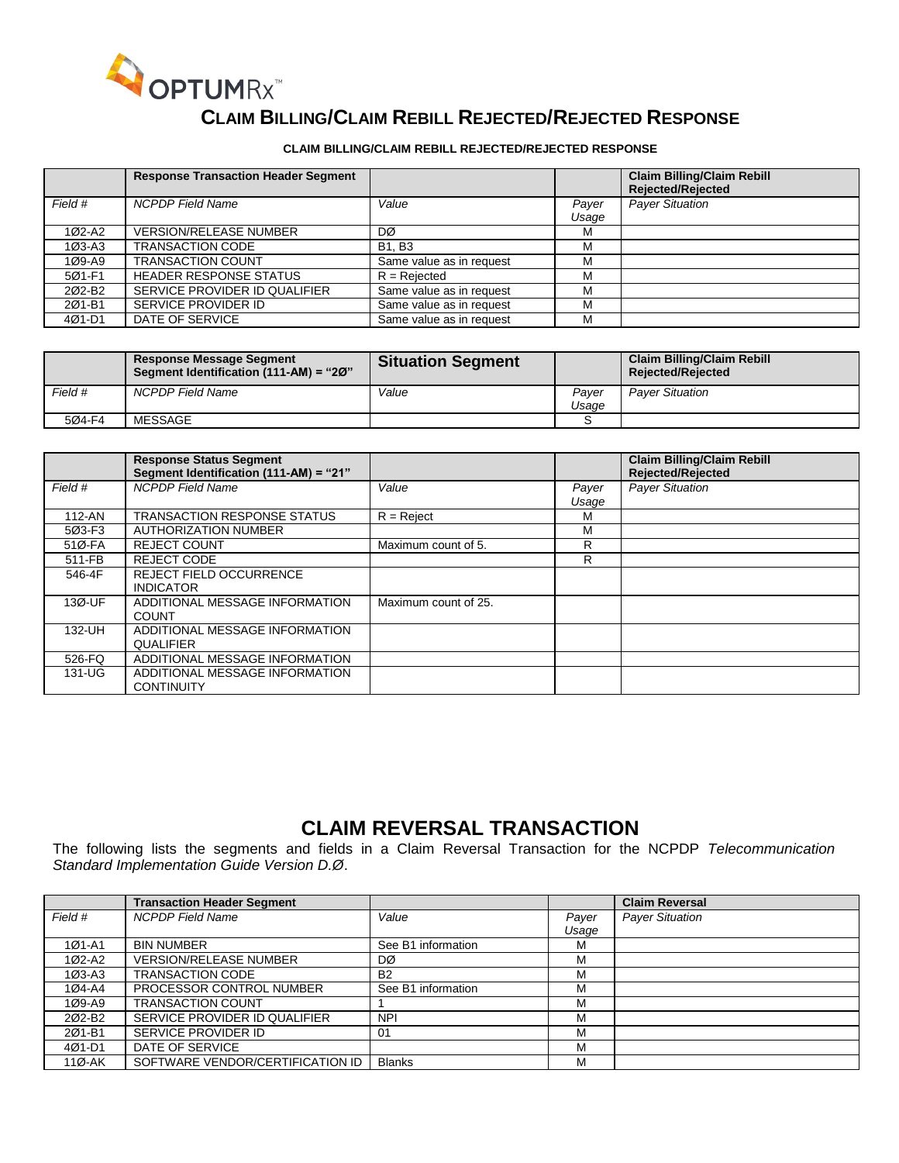

#### **CLAIM BILLING/CLAIM REBILL REJECTED/REJECTED RESPONSE**

#### **CLAIM BILLING/CLAIM REBILL REJECTED/REJECTED RESPONSE**

|            | <b>Response Transaction Header Segment</b> |                          |       | <b>Claim Billing/Claim Rebill</b><br><b>Rejected/Rejected</b> |
|------------|--------------------------------------------|--------------------------|-------|---------------------------------------------------------------|
| Field #    | <b>NCPDP Field Name</b>                    | Value                    | Payer | <b>Payer Situation</b>                                        |
|            |                                            |                          | Usage |                                                               |
| 1Ø2-A2     | <b>VERSION/RELEASE NUMBER</b>              | DØ                       | м     |                                                               |
| $103 - A3$ | <b>TRANSACTION CODE</b>                    | <b>B1, B3</b>            | м     |                                                               |
| 1Ø9-A9     | <b>TRANSACTION COUNT</b>                   | Same value as in request | М     |                                                               |
| 501-F1     | <b>HEADER RESPONSE STATUS</b>              | $R =$ Rejected           | M     |                                                               |
| 202-B2     | SERVICE PROVIDER ID QUALIFIER              | Same value as in request | М     |                                                               |
| 201-B1     | SERVICE PROVIDER ID                        | Same value as in request | М     |                                                               |
| 4Ø1-D1     | DATE OF SERVICE                            | Same value as in request | M     |                                                               |

|         | <b>Response Message Segment</b><br>Segment Identification (111-AM) = "20" | <b>Situation Segment</b> |                | <b>Claim Billing/Claim Rebill</b><br><b>Rejected/Rejected</b> |
|---------|---------------------------------------------------------------------------|--------------------------|----------------|---------------------------------------------------------------|
| Field # | NCPDP Field Name                                                          | Value                    | Paver<br>Usaɑe | <b>Paver Situation</b>                                        |
| 504-F4  | MESSAGE                                                                   |                          |                |                                                               |

|         | <b>Response Status Segment</b><br>Segment Identification (111-AM) = "21" |                      |                | <b>Claim Billing/Claim Rebill</b><br><b>Rejected/Rejected</b> |
|---------|--------------------------------------------------------------------------|----------------------|----------------|---------------------------------------------------------------|
| Field # | <b>NCPDP</b> Field Name                                                  | Value                | Payer<br>Usage | <b>Payer Situation</b>                                        |
| 112-AN  | <b>TRANSACTION RESPONSE STATUS</b>                                       | $R =$ Reject         | м              |                                                               |
| 5Ø3-F3  | <b>AUTHORIZATION NUMBER</b>                                              |                      | M              |                                                               |
| 51Ø-FA  | <b>REJECT COUNT</b>                                                      | Maximum count of 5.  | R              |                                                               |
| 511-FB  | <b>REJECT CODE</b>                                                       |                      | R.             |                                                               |
| 546-4F  | <b>REJECT FIELD OCCURRENCE</b><br><b>INDICATOR</b>                       |                      |                |                                                               |
| 13Ø-UF  | ADDITIONAL MESSAGE INFORMATION<br><b>COUNT</b>                           | Maximum count of 25. |                |                                                               |
| 132-UH  | ADDITIONAL MESSAGE INFORMATION<br>QUALIFIER                              |                      |                |                                                               |
| 526-FQ  | ADDITIONAL MESSAGE INFORMATION                                           |                      |                |                                                               |
| 131-UG  | ADDITIONAL MESSAGE INFORMATION<br><b>CONTINUITY</b>                      |                      |                |                                                               |

#### **CLAIM REVERSAL TRANSACTION**

The following lists the segments and fields in a Claim Reversal Transaction for the NCPDP *Telecommunication Standard Implementation Guide Version D.Ø*.

|            | <b>Transaction Header Segment</b> |                    |       | <b>Claim Reversal</b>  |
|------------|-----------------------------------|--------------------|-------|------------------------|
| Field #    | <b>NCPDP</b> Field Name           | Value              | Payer | <b>Payer Situation</b> |
|            |                                   |                    | Usage |                        |
| $101 - A1$ | <b>BIN NUMBER</b>                 | See B1 information | м     |                        |
| 1Ø2-A2     | <b>VERSION/RELEASE NUMBER</b>     | DØ                 | М     |                        |
| 1Ø3-A3     | <b>TRANSACTION CODE</b>           | <b>B2</b>          | М     |                        |
| 1Ø4-A4     | PROCESSOR CONTROL NUMBER          | See B1 information | М     |                        |
| 1Ø9-A9     | <b>TRANSACTION COUNT</b>          |                    | М     |                        |
| 202-B2     | SERVICE PROVIDER ID QUALIFIER     | <b>NPI</b>         | м     |                        |
| 201-B1     | SERVICE PROVIDER ID               | 01                 | м     |                        |
| 4Ø1-D1     | DATE OF SERVICE                   |                    | м     |                        |
| $110 - AK$ | SOFTWARE VENDOR/CERTIFICATION ID  | <b>Blanks</b>      | м     |                        |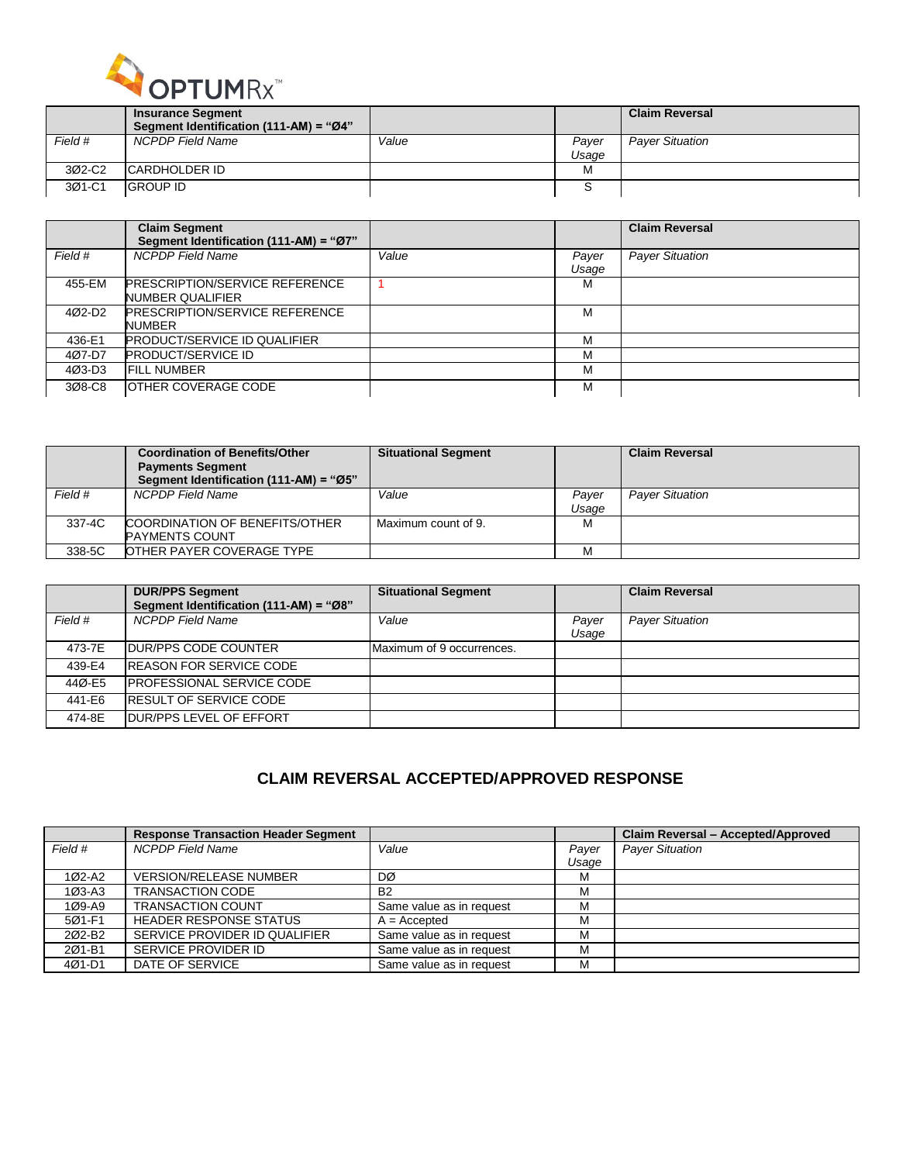

|         | <b>Insurance Segment</b>               |       |                | <b>Claim Reversal</b>  |
|---------|----------------------------------------|-------|----------------|------------------------|
|         | Segment Identification (111-AM) = "Ø4" |       |                |                        |
| Field # | NCPDP Field Name                       | Value | Paver<br>Usage | <b>Paver Situation</b> |
| 3Ø2-C2  | ICARDHOLDER ID                         |       | м              |                        |
| 3Ø1-C1  | <b>GROUP ID</b>                        |       |                |                        |

|         | <b>Claim Segment</b><br>Segment Identification (111-AM) = "Ø7" |       |                | <b>Claim Reversal</b>  |
|---------|----------------------------------------------------------------|-------|----------------|------------------------|
| Field # | <b>NCPDP</b> Field Name                                        | Value | Payer<br>Usage | <b>Payer Situation</b> |
| 455-EM  | <b>PRESCRIPTION/SERVICE REFERENCE</b><br>NUMBER QUALIFIER      |       | м              |                        |
| 4Ø2-D2  | <b>PRESCRIPTION/SERVICE REFERENCE</b><br><b>NUMBER</b>         |       | м              |                        |
| 436-E1  | <b>PRODUCT/SERVICE ID QUALIFIER</b>                            |       | м              |                        |
| 407-D7  | <b>PRODUCT/SERVICE ID</b>                                      |       | м              |                        |
| 4Ø3-D3  | <b>FILL NUMBER</b>                                             |       | м              |                        |
| 308-C8  | IOTHER COVERAGE CODE                                           |       | М              |                        |

|         | <b>Coordination of Benefits/Other</b><br><b>Payments Segment</b><br>Segment Identification (111-AM) = "Ø5" | <b>Situational Segment</b> |                | <b>Claim Reversal</b>  |
|---------|------------------------------------------------------------------------------------------------------------|----------------------------|----------------|------------------------|
| Field # | <b>NCPDP Field Name</b>                                                                                    | Value                      | Paver<br>Usage | <b>Paver Situation</b> |
| 337-4C  | COORDINATION OF BENEFITS/OTHER<br><b>PAYMENTS COUNT</b>                                                    | Maximum count of 9.        | М              |                        |
| 338-5C  | OTHER PAYER COVERAGE TYPE                                                                                  |                            | М              |                        |

|         | <b>DUR/PPS Segment</b><br>Segment Identification (111-AM) = "Ø8" | <b>Situational Segment</b> |                | <b>Claim Reversal</b>  |
|---------|------------------------------------------------------------------|----------------------------|----------------|------------------------|
| Field # | <b>NCPDP Field Name</b>                                          | Value                      | Payer<br>Usage | <b>Payer Situation</b> |
| 473-7E  | <b>IDUR/PPS CODE COUNTER</b>                                     | Maximum of 9 occurrences.  |                |                        |
| 439-E4  | <b>IREASON FOR SERVICE CODE</b>                                  |                            |                |                        |
| 44Ø-E5  | <b>IPROFESSIONAL SERVICE CODE</b>                                |                            |                |                        |
| 441-E6  | <b>IRESULT OF SERVICE CODE</b>                                   |                            |                |                        |
| 474-8E  | <b>IDUR/PPS LEVEL OF EFFORT</b>                                  |                            |                |                        |

#### **CLAIM REVERSAL ACCEPTED/APPROVED RESPONSE**

|                    | <b>Response Transaction Header Segment</b> |                          |       | Claim Reversal - Accepted/Approved |
|--------------------|--------------------------------------------|--------------------------|-------|------------------------------------|
| Field #            | <b>NCPDP</b> Field Name                    | Value                    | Payer | <b>Payer Situation</b>             |
|                    |                                            |                          | Usage |                                    |
| $102-A2$           | <b>VERSION/RELEASE NUMBER</b>              | DØ                       | M     |                                    |
| $103 - A3$         | <b>TRANSACTION CODE</b>                    | <b>B2</b>                | М     |                                    |
| 1Ø9-A9             | <b>TRANSACTION COUNT</b>                   | Same value as in request | М     |                                    |
| 5Ø1-F1             | <b>HEADER RESPONSE STATUS</b>              | $A = Accepted$           | M     |                                    |
| 202-B <sub>2</sub> | SERVICE PROVIDER ID QUALIFIER              | Same value as in request | М     |                                    |
| 201-B1             | SERVICE PROVIDER ID                        | Same value as in request | M     |                                    |
| 4Ø1-D1             | DATE OF SERVICE                            | Same value as in request | M     |                                    |